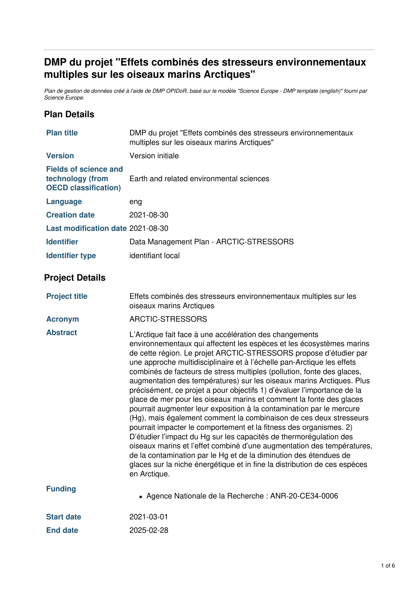# **DMP du projet "Effets combinés des stresseurs environnementaux multiples sur les oiseaux marins Arctiques"**

Plan de gestion de données créé à l'aide de DMP OPIDoR, basé sur le modèle "Science Europe - DMP template (english)" fourni par *Science Europe.*

## **Plan Details**

| <b>Plan title</b>                                                               | DMP du projet "Effets combinés des stresseurs environnementaux<br>multiples sur les oiseaux marins Arctiques"                                                                                                                                                                                                                                                                                                                                                                                                                                                                                                                                                                                                                                                                                                                                                                                                                                                                                                                                                                                                             |  |
|---------------------------------------------------------------------------------|---------------------------------------------------------------------------------------------------------------------------------------------------------------------------------------------------------------------------------------------------------------------------------------------------------------------------------------------------------------------------------------------------------------------------------------------------------------------------------------------------------------------------------------------------------------------------------------------------------------------------------------------------------------------------------------------------------------------------------------------------------------------------------------------------------------------------------------------------------------------------------------------------------------------------------------------------------------------------------------------------------------------------------------------------------------------------------------------------------------------------|--|
| <b>Version</b>                                                                  | Version initiale                                                                                                                                                                                                                                                                                                                                                                                                                                                                                                                                                                                                                                                                                                                                                                                                                                                                                                                                                                                                                                                                                                          |  |
| <b>Fields of science and</b><br>technology (from<br><b>OECD classification)</b> | Earth and related environmental sciences                                                                                                                                                                                                                                                                                                                                                                                                                                                                                                                                                                                                                                                                                                                                                                                                                                                                                                                                                                                                                                                                                  |  |
| <b>Language</b>                                                                 | eng                                                                                                                                                                                                                                                                                                                                                                                                                                                                                                                                                                                                                                                                                                                                                                                                                                                                                                                                                                                                                                                                                                                       |  |
| <b>Creation date</b>                                                            | 2021-08-30                                                                                                                                                                                                                                                                                                                                                                                                                                                                                                                                                                                                                                                                                                                                                                                                                                                                                                                                                                                                                                                                                                                |  |
| Last modification date 2021-08-30                                               |                                                                                                                                                                                                                                                                                                                                                                                                                                                                                                                                                                                                                                                                                                                                                                                                                                                                                                                                                                                                                                                                                                                           |  |
| <b>Identifier</b>                                                               | Data Management Plan - ARCTIC-STRESSORS                                                                                                                                                                                                                                                                                                                                                                                                                                                                                                                                                                                                                                                                                                                                                                                                                                                                                                                                                                                                                                                                                   |  |
| <b>Identifier type</b>                                                          | identifiant local                                                                                                                                                                                                                                                                                                                                                                                                                                                                                                                                                                                                                                                                                                                                                                                                                                                                                                                                                                                                                                                                                                         |  |
| <b>Project Details</b>                                                          |                                                                                                                                                                                                                                                                                                                                                                                                                                                                                                                                                                                                                                                                                                                                                                                                                                                                                                                                                                                                                                                                                                                           |  |
| <b>Project title</b>                                                            | Effets combinés des stresseurs environnementaux multiples sur les<br>oiseaux marins Arctiques                                                                                                                                                                                                                                                                                                                                                                                                                                                                                                                                                                                                                                                                                                                                                                                                                                                                                                                                                                                                                             |  |
| <b>Acronym</b>                                                                  | ARCTIC-STRESSORS                                                                                                                                                                                                                                                                                                                                                                                                                                                                                                                                                                                                                                                                                                                                                                                                                                                                                                                                                                                                                                                                                                          |  |
| <b>Abstract</b>                                                                 | L'Arctique fait face à une accélération des changements<br>environnementaux qui affectent les espèces et les écosystèmes marins<br>de cette région. Le projet ARCTIC-STRESSORS propose d'étudier par<br>une approche multidisciplinaire et à l'échelle pan-Arctique les effets<br>combinés de facteurs de stress multiples (pollution, fonte des glaces,<br>augmentation des températures) sur les oiseaux marins Arctiques. Plus<br>précisément, ce projet a pour objectifs 1) d'évaluer l'importance de la<br>glace de mer pour les oiseaux marins et comment la fonte des glaces<br>pourrait augmenter leur exposition à la contamination par le mercure<br>(Hg), mais également comment la combinaison de ces deux stresseurs<br>pourrait impacter le comportement et la fitness des organismes. 2)<br>D'étudier l'impact du Hg sur les capacités de thermorégulation des<br>oiseaux marins et l'effet combiné d'une augmentation des températures,<br>de la contamination par le Hg et de la diminution des étendues de<br>glaces sur la niche énergétique et in fine la distribution de ces espèces<br>en Arctique. |  |
| <b>Funding</b>                                                                  | • Agence Nationale de la Recherche : ANR-20-CE34-0006                                                                                                                                                                                                                                                                                                                                                                                                                                                                                                                                                                                                                                                                                                                                                                                                                                                                                                                                                                                                                                                                     |  |
| <b>Start date</b>                                                               | 2021-03-01                                                                                                                                                                                                                                                                                                                                                                                                                                                                                                                                                                                                                                                                                                                                                                                                                                                                                                                                                                                                                                                                                                                |  |
| <b>End date</b>                                                                 | 2025-02-28                                                                                                                                                                                                                                                                                                                                                                                                                                                                                                                                                                                                                                                                                                                                                                                                                                                                                                                                                                                                                                                                                                                |  |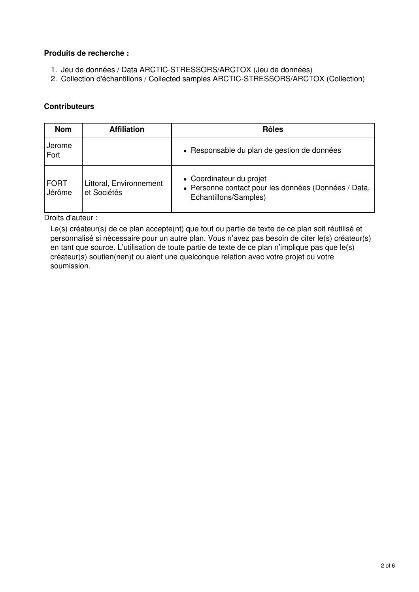#### **Produits de recherche :**

- 1. Jeu de données / Data ARCTIC-STRESSORS/ARCTOX (Jeu de données)
- 2. Collection d'échantillons / Collected samples ARCTIC-STRESSORS/ARCTOX (Collection)

### **Contributeurs**

| <b>Nom</b>            | <b>Affiliation</b>                     | <b>Rôles</b>                                                                                              |
|-----------------------|----------------------------------------|-----------------------------------------------------------------------------------------------------------|
| Jerome<br>Fort        |                                        | • Responsable du plan de gestion de données                                                               |
| <b>FORT</b><br>Jérôme | Littoral, Environnement<br>et Sociétés | • Coordinateur du projet<br>• Personne contact pour les données (Données / Data,<br>Echantillons/Samples) |

Droits d'auteur :

Le(s) créateur(s) de ce plan accepte(nt) que tout ou partie de texte de ce plan soit réutilisé et personnalisé si nécessaire pour un autre plan. Vous n'avez pas besoin de citer le(s) créateur(s) en tant que source. L'utilisation de toute partie de texte de ce plan n'implique pas que le(s) créateur(s) soutien(nen)t ou aient une quelconque relation avec votre projet ou votre soumission.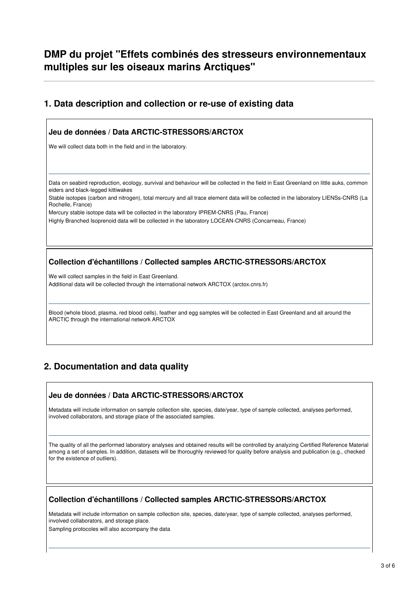## **DMP du projet "Effets combinés des stresseurs environnementaux multiples sur les oiseaux marins Arctiques"**

## **1. Data description and collection or re-use of existing data**

### **Jeu de données / Data ARCTIC-STRESSORS/ARCTOX**

We will collect data both in the field and in the laboratory.

Data on seabird reproduction, ecology, survival and behaviour will be collected in the field in East Greenland on little auks, common eiders and black-legged kittiwakes

Stable isotopes (carbon and nitrogen), total mercury and all trace element data will be collected in the laboratory LIENSs-CNRS (La Rochelle, France)

Mercury stable isotope data will be collected in the laboratory IPREM-CNRS (Pau, France)

Highly Branched Isoprenoid data will be collected in the laboratory LOCEAN-CNRS (Concarneau, France)

#### **Collection d'échantillons / Collected samples ARCTIC-STRESSORS/ARCTOX**

We will collect samples in the field in East Greenland.

Additional data will be collected through the international network ARCTOX (arctox.cnrs.fr)

Blood (whole blood, plasma, red blood cells), feather and egg samples will be collected in East Greenland and all around the ARCTIC through the international network ARCTOX

## **2. Documentation and data quality**

#### **Jeu de données / Data ARCTIC-STRESSORS/ARCTOX**

Metadata will include information on sample collection site, species, date/year, type of sample collected, analyses performed, involved collaborators, and storage place of the associated samples.

The quality of all the performed laboratory analyses and obtained results will be controlled by analyzing Certified Reference Material among a set of samples. In addition, datasets will be thoroughly reviewed for quality before analysis and publication (e.g., checked for the existence of outliers).

#### **Collection d'échantillons / Collected samples ARCTIC-STRESSORS/ARCTOX**

Metadata will include information on sample collection site, species, date/year, type of sample collected, analyses performed, involved collaborators, and storage place.

Sampling protocoles will also accompany the data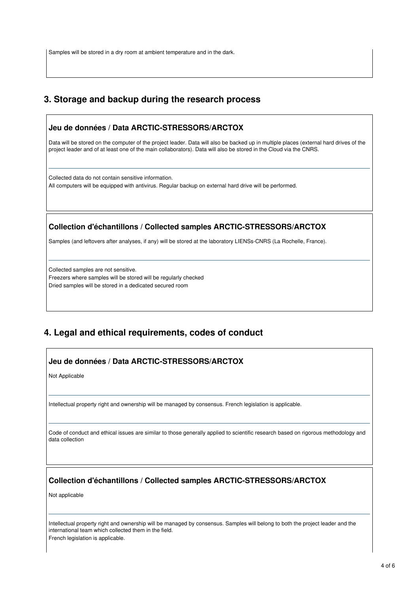Samples will be stored in a dry room at ambient temperature and in the dark.

## **3. Storage and backup during the research process**

### **Jeu de données / Data ARCTIC-STRESSORS/ARCTOX**

Data will be stored on the computer of the project leader. Data will also be backed up in multiple places (external hard drives of the project leader and of at least one of the main collaborators). Data will also be stored in the Cloud via the CNRS.

Collected data do not contain sensitive information. All computers will be equipped with antivirus. Regular backup on external hard drive will be performed.

#### **Collection d'échantillons / Collected samples ARCTIC-STRESSORS/ARCTOX**

Samples (and leftovers after analyses, if any) will be stored at the laboratory LIENSs-CNRS (La Rochelle, France).

Collected samples are not sensitive. Freezers where samples will be stored will be regularly checked Dried samples will be stored in a dedicated secured room

## **4. Legal and ethical requirements, codes of conduct**

#### **Jeu de données / Data ARCTIC-STRESSORS/ARCTOX**

Not Applicable

Intellectual property right and ownership will be managed by consensus. French legislation is applicable.

Code of conduct and ethical issues are similar to those generally applied to scientific research based on rigorous methodology and data collection

#### **Collection d'échantillons / Collected samples ARCTIC-STRESSORS/ARCTOX**

Not applicable

Intellectual property right and ownership will be managed by consensus. Samples will belong to both the project leader and the international team which collected them in the field.

French legislation is applicable.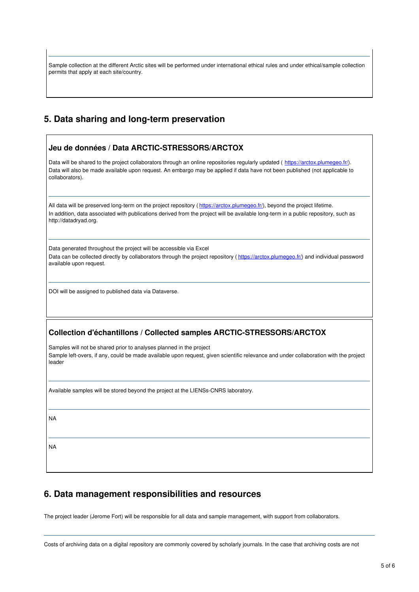Sample collection at the different Arctic sites will be performed under international ethical rules and under ethical/sample collection permits that apply at each site/country.

## **5. Data sharing and long-term preservation**

| Data will be shared to the project collaborators through an online repositories regularly updated (https://arctox.plumegeo.fr/).<br>Data will also be made available upon request. An embargo may be applied if data have not been published (not applicable to<br>collaborators).         |
|--------------------------------------------------------------------------------------------------------------------------------------------------------------------------------------------------------------------------------------------------------------------------------------------|
| All data will be preserved long-term on the project repository (https://arctox.plumegeo.fr/), beyond the project lifetime.<br>In addition, data associated with publications derived from the project will be available long-term in a public repository, such as<br>http://datadryad.org. |
| Data generated throughout the project will be accessible via Excel<br>Data can be collected directly by collaborators through the project repository (https://arctox.plumegeo.fr/) and individual password<br>available upon request.                                                      |
| DOI will be assigned to published data via Dataverse.                                                                                                                                                                                                                                      |
| <b>Collection d'échantillons / Collected samples ARCTIC-STRESSORS/ARCTOX</b>                                                                                                                                                                                                               |
| Samples will not be shared prior to analyses planned in the project                                                                                                                                                                                                                        |
| Sample left-overs, if any, could be made available upon request, given scientific relevance and under collaboration with the project<br>leader                                                                                                                                             |
| Available samples will be stored beyond the project at the LIENSs-CNRS laboratory.                                                                                                                                                                                                         |
| <b>NA</b>                                                                                                                                                                                                                                                                                  |

## **6. Data management responsibilities and resources**

The project leader (Jerome Fort) will be responsible for all data and sample management, with support from collaborators.

Costs of archiving data on a digital repository are commonly covered by scholarly journals. In the case that archiving costs are not